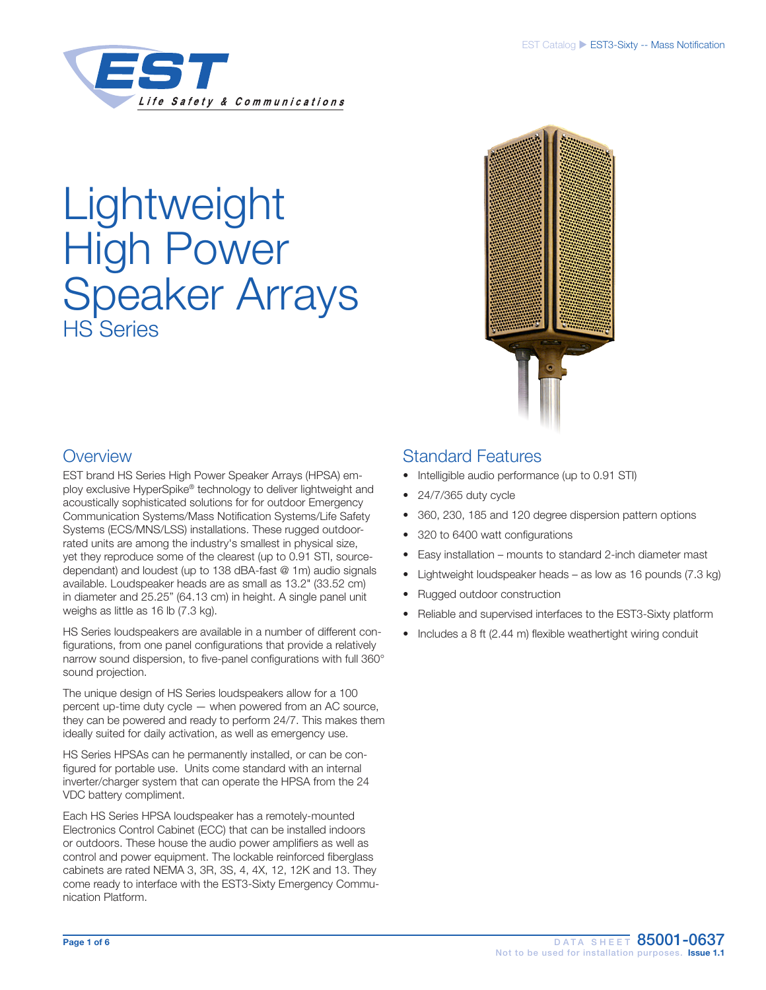

# **Lightweight** High Power Speaker Arrays HS Series



# **Overview**

EST brand HS Series High Power Speaker Arrays (HPSA) employ exclusive HyperSpike® technology to deliver lightweight and acoustically sophisticated solutions for for outdoor Emergency Communication Systems/Mass Notification Systems/Life Safety Systems (ECS/MNS/LSS) installations. These rugged outdoorrated units are among the industry's smallest in physical size, yet they reproduce some of the clearest (up to 0.91 STI, sourcedependant) and loudest (up to 138 dBA-fast @ 1m) audio signals available. Loudspeaker heads are as small as 13.2" (33.52 cm) in diameter and 25.25" (64.13 cm) in height. A single panel unit weighs as little as 16 lb (7.3 kg).

HS Series loudspeakers are available in a number of different configurations, from one panel configurations that provide a relatively narrow sound dispersion, to five-panel configurations with full 360° sound projection.

The unique design of HS Series loudspeakers allow for a 100 percent up-time duty cycle — when powered from an AC source, they can be powered and ready to perform 24/7. This makes them ideally suited for daily activation, as well as emergency use.

HS Series HPSAs can he permanently installed, or can be configured for portable use. Units come standard with an internal inverter/charger system that can operate the HPSA from the 24 VDC battery compliment.

Each HS Series HPSA loudspeaker has a remotely-mounted Electronics Control Cabinet (ECC) that can be installed indoors or outdoors. These house the audio power amplifiers as well as control and power equipment. The lockable reinforced fiberglass cabinets are rated NEMA 3, 3R, 3S, 4, 4X, 12, 12K and 13. They come ready to interface with the EST3-Sixty Emergency Communication Platform.

# Standard Features

- Intelligible audio performance (up to 0.91 STI)
- 24/7/365 duty cycle
- 360, 230, 185 and 120 degree dispersion pattern options
- 320 to 6400 watt configurations
- Easy installation mounts to standard 2-inch diameter mast
- Lightweight loudspeaker heads as low as 16 pounds (7.3 kg)
- Rugged outdoor construction
- Reliable and supervised interfaces to the EST3-Sixty platform
- Includes a 8 ft (2.44 m) flexible weathertight wiring conduit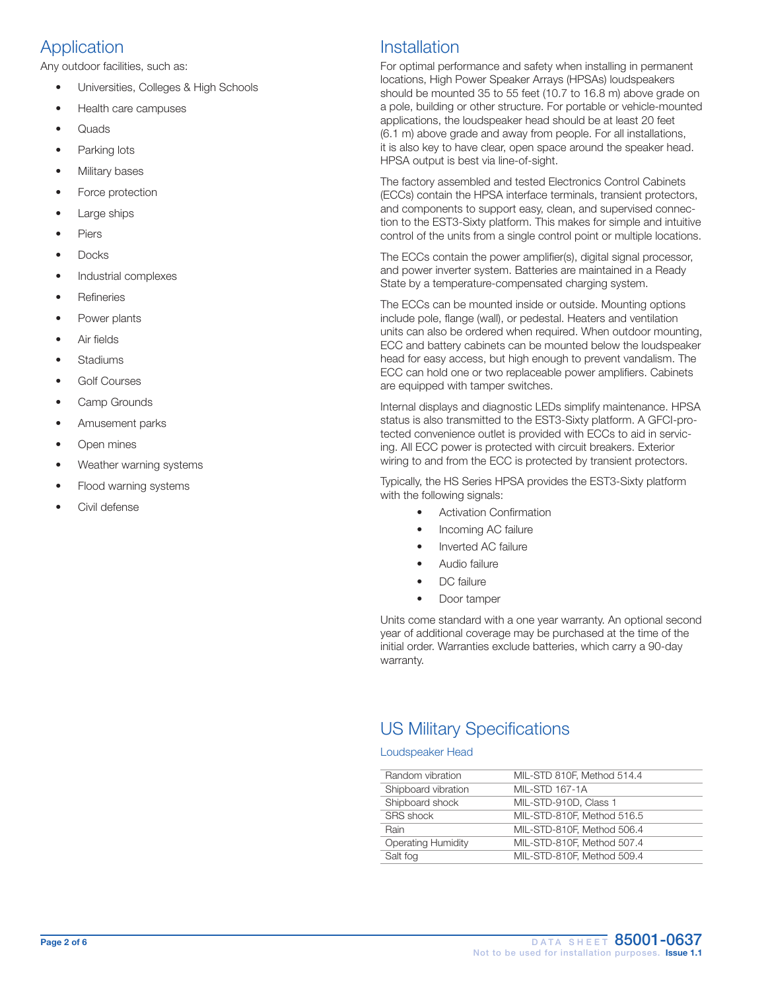# Application

Any outdoor facilities, such as:

- Universities, Colleges & High Schools
- Health care campuses
- Quads
- Parking lots
- Military bases
- Force protection
- Large ships
- **Piers**
- Docks
- Industrial complexes
- **Refineries**
- Power plants
- Air fields
- **Stadiums**
- Golf Courses
- Camp Grounds
- Amusement parks
- Open mines
- Weather warning systems
- Flood warning systems
- Civil defense

# **Installation**

For optimal performance and safety when installing in permanent locations, High Power Speaker Arrays (HPSAs) loudspeakers should be mounted 35 to 55 feet (10.7 to 16.8 m) above grade on a pole, building or other structure. For portable or vehicle-mounted applications, the loudspeaker head should be at least 20 feet (6.1 m) above grade and away from people. For all installations, it is also key to have clear, open space around the speaker head. HPSA output is best via line-of-sight.

The factory assembled and tested Electronics Control Cabinets (ECCs) contain the HPSA interface terminals, transient protectors, and components to support easy, clean, and supervised connection to the EST3-Sixty platform. This makes for simple and intuitive control of the units from a single control point or multiple locations.

The ECCs contain the power amplifier(s), digital signal processor, and power inverter system. Batteries are maintained in a Ready State by a temperature-compensated charging system.

The ECCs can be mounted inside or outside. Mounting options include pole, flange (wall), or pedestal. Heaters and ventilation units can also be ordered when required. When outdoor mounting, ECC and battery cabinets can be mounted below the loudspeaker head for easy access, but high enough to prevent vandalism. The ECC can hold one or two replaceable power amplifiers. Cabinets are equipped with tamper switches.

Internal displays and diagnostic LEDs simplify maintenance. HPSA status is also transmitted to the EST3-Sixty platform. A GFCI-protected convenience outlet is provided with ECCs to aid in servicing. All ECC power is protected with circuit breakers. Exterior wiring to and from the ECC is protected by transient protectors.

Typically, the HS Series HPSA provides the EST3-Sixty platform with the following signals:

- Activation Confirmation
- Incoming AC failure
- Inverted AC failure
- Audio failure
- DC failure
- Door tamper

Units come standard with a one year warranty. An optional second year of additional coverage may be purchased at the time of the initial order. Warranties exclude batteries, which carry a 90-day warranty.

# US Military Specifications

## Loudspeaker Head

| Random vibration          | MIL-STD 810F, Method 514.4 |
|---------------------------|----------------------------|
| Shipboard vibration       | <b>MIL-STD 167-1A</b>      |
| Shipboard shock           | MIL-STD-910D, Class 1      |
| SRS shock                 | MIL-STD-810F, Method 516.5 |
| Rain                      | MIL-STD-810F, Method 506.4 |
| <b>Operating Humidity</b> | MIL-STD-810F, Method 507.4 |
| Salt fog                  | MIL-STD-810F. Method 509.4 |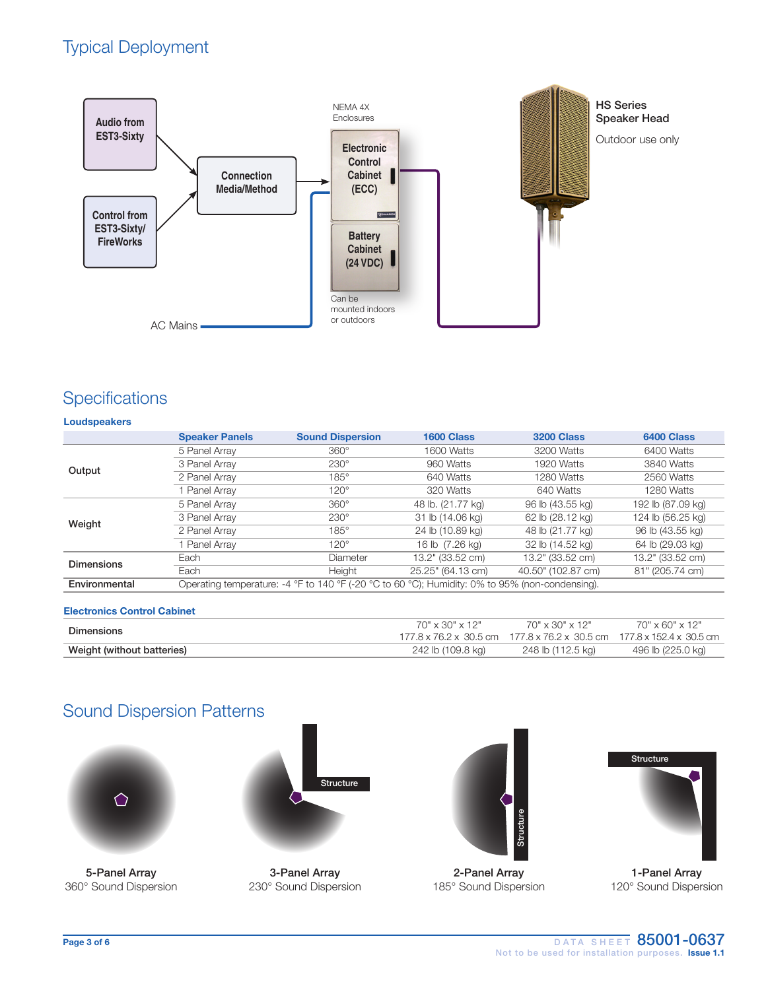# Typical Deployment



## **Specifications**

## Loudspeakers

|                   | <b>Speaker Panels</b> | <b>Sound Dispersion</b>                                                                         | 1600 Class        | <b>3200 Class</b>  | 6400 Class        |
|-------------------|-----------------------|-------------------------------------------------------------------------------------------------|-------------------|--------------------|-------------------|
|                   | 5 Panel Array         | $360^\circ$                                                                                     | 1600 Watts        | 3200 Watts         | 6400 Watts        |
|                   | 3 Panel Array         | $230^\circ$                                                                                     | 960 Watts         | 1920 Watts         | 3840 Watts        |
| Output            | 2 Panel Array         | $185^\circ$                                                                                     | 640 Watts         | 1280 Watts         | 2560 Watts        |
|                   | Panel Array           | $120^\circ$                                                                                     | 320 Watts         | 640 Watts          | 1280 Watts        |
| Weight            | 5 Panel Array         | $360^\circ$                                                                                     | 48 lb. (21.77 kg) | 96 lb (43.55 kg)   | 192 lb (87.09 kg) |
|                   | 3 Panel Array         | $230^\circ$                                                                                     | 31 lb (14.06 kg)  | 62 lb (28.12 kg)   | 124 lb (56.25 kg) |
|                   | 2 Panel Array         | $185^\circ$                                                                                     | 24 lb (10.89 kg)  | 48 lb (21.77 kg)   | 96 lb (43.55 kg)  |
|                   | Panel Array           | $120^\circ$                                                                                     | 16 lb (7.26 kg)   | 32 lb (14.52 kg)   | 64 lb (29.03 kg)  |
| <b>Dimensions</b> | Each                  | Diameter                                                                                        | 13.2" (33.52 cm)  | 13.2" (33.52 cm)   | 13.2" (33.52 cm)  |
|                   | Each                  | Height                                                                                          | 25.25" (64.13 cm) | 40.50" (102.87 cm) | 81" (205.74 cm)   |
| Environmental     |                       | Operating temperature: -4 °F to 140 °F (-20 °C to 60 °C); Humidity: 0% to 95% (non-condensing). |                   |                    |                   |

## Electronics Control Cabinet

| Dimensions                 | 70" x 30" x 12"   | 70" x 30" x 12"<br>177.8 x 76.2 x 30.5 cm 177.8 x 76.2 x 30.5 cm 177.8 x 152.4 x 30.5 cm | $70" \times 60" \times 12"$ |
|----------------------------|-------------------|------------------------------------------------------------------------------------------|-----------------------------|
| Weight (without batteries) | 242 lb (109.8 kg) | 248 lb (112.5 kg)                                                                        | 496 lb (225.0 kg)           |

# Sound Dispersion Patterns



5-Panel Array 360° Sound Dispersion



3-Panel Array 230° Sound Dispersion



2-Panel Array 185° Sound Dispersion



1-Panel Array 120° Sound Dispersion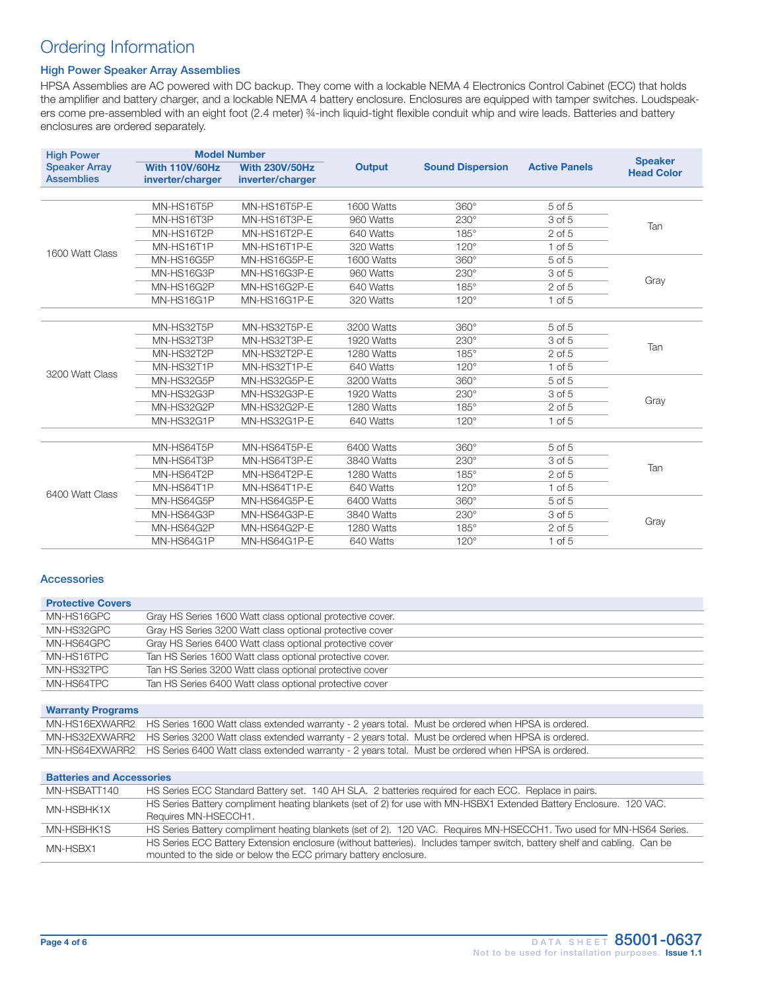# Ordering Information

## High Power Speaker Array Assemblies

HPSA Assemblies are AC powered with DC backup. They come with a lockable NEMA 4 Electronics Control Cabinet (ECC) that holds the amplifier and battery charger, and a lockable NEMA 4 battery enclosure. Enclosures are equipped with tamper switches. Loudspeakers come pre-assembled with an eight foot (2.4 meter) ¾-inch liquid-tight flexible conduit whip and wire leads. Batteries and battery enclosures are ordered separately.

| <b>High Power</b>                         |                                           | <b>Model Number</b>                       |            |                         |                      | <b>Speaker</b>    |
|-------------------------------------------|-------------------------------------------|-------------------------------------------|------------|-------------------------|----------------------|-------------------|
| <b>Speaker Array</b><br><b>Assemblies</b> | <b>With 110V/60Hz</b><br>inverter/charger | <b>With 230V/50Hz</b><br>inverter/charger | Output     | <b>Sound Dispersion</b> | <b>Active Panels</b> | <b>Head Color</b> |
|                                           |                                           |                                           |            |                         |                      |                   |
|                                           | MN-HS16T5P                                | MN-HS16T5P-E                              | 1600 Watts | $360^\circ$             | $5$ of $5$           |                   |
|                                           | MN-HS16T3P                                | MN-HS16T3P-E                              | 960 Watts  | $230^\circ$             | 3 of 5               | Tan               |
|                                           | MN-HS16T2P                                | MN-HS16T2P-E                              | 640 Watts  | $185^\circ$             | $2$ of $5$           |                   |
| 1600 Watt Class                           | MN-HS16T1P                                | MN-HS16T1P-E                              | 320 Watts  | $120^\circ$             | $1$ of $5$           |                   |
|                                           | MN-HS16G5P                                | MN-HS16G5P-E                              | 1600 Watts | $360^\circ$             | 5 of 5               |                   |
|                                           | MN-HS16G3P                                | MN-HS16G3P-E                              | 960 Watts  | $230^\circ$             | 3 of 5               | Gray              |
|                                           | MN-HS16G2P                                | MN-HS16G2P-E                              | 640 Watts  | $185^\circ$             | $2$ of $5$           |                   |
|                                           | MN-HS16G1P                                | MN-HS16G1P-E                              | 320 Watts  | $120^\circ$             | $1$ of $5$           |                   |
|                                           |                                           |                                           |            |                         |                      |                   |
|                                           | MN-HS32T5P                                | MN-HS32T5P-E                              | 3200 Watts | $360^\circ$             | 5 of 5               | Tan               |
|                                           | MN-HS32T3P                                | MN-HS32T3P-E                              | 1920 Watts | $230^\circ$             | 3 of 5               |                   |
|                                           | MN-HS32T2P                                | MN-HS32T2P-E                              | 1280 Watts | $185^\circ$             | $2$ of $5$           |                   |
| 3200 Watt Class                           | MN-HS32T1P                                | MN-HS32T1P-E                              | 640 Watts  | $120^\circ$             | $1$ of $5$           |                   |
|                                           | MN-HS32G5P                                | MN-HS32G5P-E                              | 3200 Watts | $360^\circ$             | 5 of 5               |                   |
|                                           | MN-HS32G3P                                | MN-HS32G3P-E                              | 1920 Watts | $230^\circ$             | 3 of 5               |                   |
|                                           | MN-HS32G2P                                | MN-HS32G2P-E                              | 1280 Watts | $185^\circ$             | $2$ of $5$           | Gray              |
|                                           | MN-HS32G1P                                | MN-HS32G1P-E                              | 640 Watts  | $120^\circ$             | $1$ of $5$           |                   |
|                                           |                                           |                                           |            |                         |                      |                   |
|                                           | MN-HS64T5P                                | MN-HS64T5P-E                              | 6400 Watts | $360^\circ$             | 5 of 5               | Tan               |
|                                           | MN-HS64T3P                                | MN-HS64T3P-E                              | 3840 Watts | $230^\circ$             | 3 of 5               |                   |
| 6400 Watt Class                           | MN-HS64T2P                                | MN-HS64T2P-E                              | 1280 Watts | $185^\circ$             | $2$ of $5$           |                   |
|                                           | MN-HS64T1P                                | MN-HS64T1P-E                              | 640 Watts  | $120^\circ$             | $1$ of $5$           |                   |
|                                           | MN-HS64G5P                                | MN-HS64G5P-E                              | 6400 Watts | $360^\circ$             | 5 of 5               |                   |
|                                           | MN-HS64G3P                                | MN-HS64G3P-E                              | 3840 Watts | $230^\circ$             | 3 of 5               | Gray              |
|                                           | MN-HS64G2P                                | MN-HS64G2P-E                              | 1280 Watts | $185^\circ$             | $2$ of $5$           |                   |
|                                           | MN-HS64G1P                                | MN-HS64G1P-E                              | 640 Watts  | $120^\circ$             | $1$ of $5$           |                   |

## Accessories

| <b>Protective Covers</b>         |                                                                                                                                                                                             |
|----------------------------------|---------------------------------------------------------------------------------------------------------------------------------------------------------------------------------------------|
| MN-HS16GPC                       | Gray HS Series 1600 Watt class optional protective cover.                                                                                                                                   |
| MN-HS32GPC                       | Gray HS Series 3200 Watt class optional protective cover                                                                                                                                    |
| MN-HS64GPC                       | Gray HS Series 6400 Watt class optional protective cover                                                                                                                                    |
| MN-HS16TPC                       | Tan HS Series 1600 Watt class optional protective cover.                                                                                                                                    |
| MN-HS32TPC                       | Tan HS Series 3200 Watt class optional protective cover                                                                                                                                     |
| MN-HS64TPC                       | Tan HS Series 6400 Watt class optional protective cover                                                                                                                                     |
|                                  |                                                                                                                                                                                             |
| <b>Warranty Programs</b>         |                                                                                                                                                                                             |
| MN-HS16EXWARR2                   | HS Series 1600 Watt class extended warranty - 2 years total. Must be ordered when HPSA is ordered.                                                                                          |
| MN-HS32EXWARR2                   | HS Series 3200 Watt class extended warranty - 2 years total. Must be ordered when HPSA is ordered.                                                                                          |
| MN-HS64EXWARR2                   | HS Series 6400 Watt class extended warranty - 2 years total. Must be ordered when HPSA is ordered.                                                                                          |
|                                  |                                                                                                                                                                                             |
| <b>Batteries and Accessories</b> |                                                                                                                                                                                             |
| MN-HSBATT140                     | HS Series ECC Standard Battery set. 140 AH SLA. 2 batteries required for each ECC. Replace in pairs.                                                                                        |
| MN-HSBHK1X                       | HS Series Battery compliment heating blankets (set of 2) for use with MN-HSBX1 Extended Battery Enclosure. 120 VAC.                                                                         |
|                                  | Requires MN-HSECCH1.                                                                                                                                                                        |
| MN-HSBHK1S                       | HS Series Battery compliment heating blankets (set of 2). 120 VAC. Requires MN-HSECCH1. Two used for MN-HS64 Series.                                                                        |
| MN-HSBX1                         | HS Series ECC Battery Extension enclosure (without batteries). Includes tamper switch, battery shelf and cabling. Can be<br>mounted to the side or below the ECC primary battery enclosure. |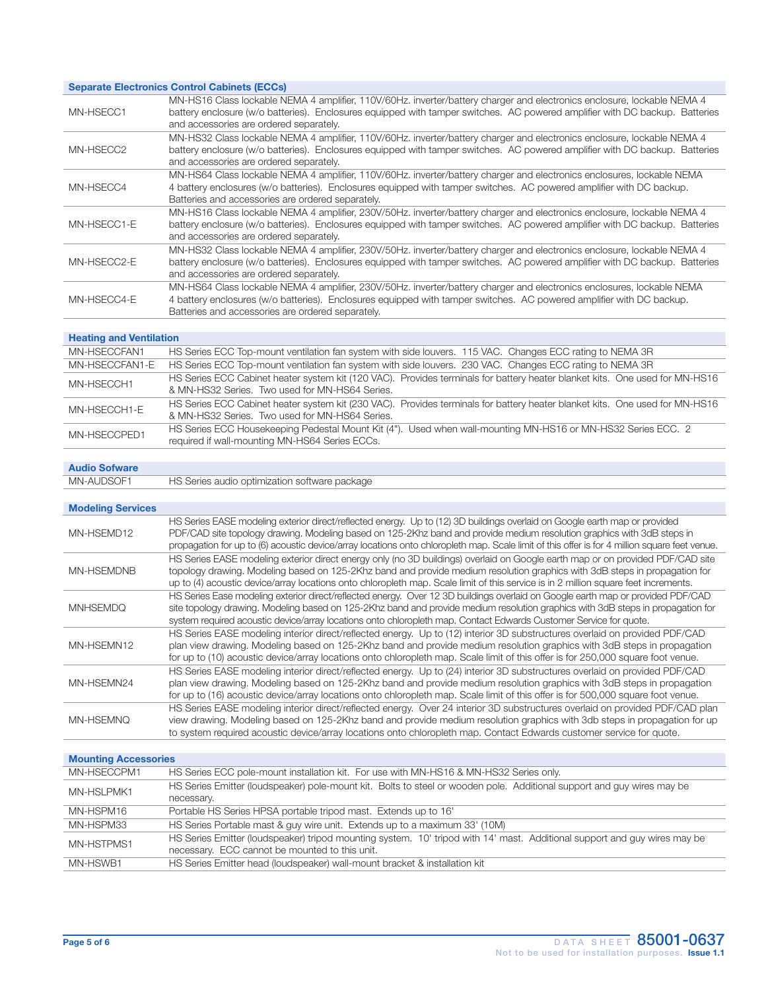## Separate Electronics Control Cabinets (ECCs)

| MN-HSECC1   | MN-HS16 Class lockable NEMA 4 amplifier, 110V/60Hz. inverter/battery charger and electronics enclosure, lockable NEMA 4<br>battery enclosure (w/o batteries). Enclosures equipped with tamper switches. AC powered amplifier with DC backup. Batteries<br>and accessories are ordered separately.   |
|-------------|-----------------------------------------------------------------------------------------------------------------------------------------------------------------------------------------------------------------------------------------------------------------------------------------------------|
| MN-HSECC2   | MN-HS32 Class lockable NEMA 4 amplifier, 110V/60Hz. inverter/battery charger and electronics enclosure, lockable NEMA 4<br>battery enclosure (w/o batteries). Enclosures equipped with tamper switches. AC powered amplifier with DC backup. Batteries<br>and accessories are ordered separately.   |
| MN-HSECC4   | MN-HS64 Class lockable NEMA 4 amplifier, 110V/60Hz. inverter/battery charger and electronics enclosures, lockable NEMA<br>4 battery enclosures (w/o batteries). Enclosures equipped with tamper switches. AC powered amplifier with DC backup.<br>Batteries and accessories are ordered separately. |
| MN-HSECC1-E | MN-HS16 Class lockable NEMA 4 amplifier, 230V/50Hz. inverter/battery charger and electronics enclosure, lockable NEMA 4<br>battery enclosure (w/o batteries). Enclosures equipped with tamper switches. AC powered amplifier with DC backup. Batteries<br>and accessories are ordered separately.   |
| MN-HSECC2-E | MN-HS32 Class lockable NEMA 4 amplifier, 230V/50Hz. inverter/battery charger and electronics enclosure, lockable NEMA 4<br>battery enclosure (w/o batteries). Enclosures equipped with tamper switches. AC powered amplifier with DC backup. Batteries<br>and accessories are ordered separately.   |
| MN-HSECC4-E | MN-HS64 Class lockable NEMA 4 amplifier, 230V/50Hz. inverter/battery charger and electronics enclosures, lockable NEMA<br>4 battery enclosures (w/o batteries). Enclosures equipped with tamper switches. AC powered amplifier with DC backup.<br>Batteries and accessories are ordered separately. |

## Heating and Ventilation

| MN-HSECCFAN1   | HS Series ECC Top-mount ventilation fan system with side louvers. 115 VAC. Changes ECC rating to NEMA 3R                                                                      |
|----------------|-------------------------------------------------------------------------------------------------------------------------------------------------------------------------------|
| MN-HSECCFAN1-E | HS Series ECC Top-mount ventilation fan system with side louvers. 230 VAC. Changes ECC rating to NEMA 3R                                                                      |
| MN-HSECCH1     | HS Series ECC Cabinet heater system kit (120 VAC). Provides terminals for battery heater blanket kits. One used for MN-HS16<br>& MN-HS32 Series. Two used for MN-HS64 Series. |
| MN-HSECCH1-E   | HS Series ECC Cabinet heater system kit (230 VAC). Provides terminals for battery heater blanket kits. One used for MN-HS16<br>& MN-HS32 Series. Two used for MN-HS64 Series. |
| MN-HSECCPED1   | HS Series ECC Housekeeping Pedestal Mount Kit (4"). Used when wall-mounting MN-HS16 or MN-HS32 Series ECC. 2<br>required if wall-mounting MN-HS64 Series ECCs.                |
|                |                                                                                                                                                                               |

## Audio Sofware

MN-AUDSOF1 HS Series audio optimization software package

| <b>Modeling Services</b> |                                                                                                                                                                                                                                                                                                                                                                                                        |
|--------------------------|--------------------------------------------------------------------------------------------------------------------------------------------------------------------------------------------------------------------------------------------------------------------------------------------------------------------------------------------------------------------------------------------------------|
| MN-HSEMD12               | HS Series EASE modeling exterior direct/reflected energy. Up to (12) 3D buildings overlaid on Google earth map or provided<br>PDF/CAD site topology drawing. Modeling based on 125-2Khz band and provide medium resolution graphics with 3dB steps in<br>propagation for up to (6) acoustic device/array locations onto chloropleth map. Scale limit of this offer is for 4 million square feet venue. |
| <b>MN-HSEMDNB</b>        | HS Series EASE modeling exterior direct energy only (no 3D buildings) overlaid on Google earth map or on provided PDF/CAD site<br>topology drawing. Modeling based on 125-2Khz band and provide medium resolution graphics with 3dB steps in propagation for<br>up to (4) acoustic device/array locations onto chloropleth map. Scale limit of this service is in 2 million square feet increments.    |
| <b>MNHSEMDO</b>          | HS Series Ease modeling exterior direct/reflected energy. Over 12 3D buildings overlaid on Google earth map or provided PDF/CAD<br>site topology drawing. Modeling based on 125-2Khz band and provide medium resolution graphics with 3dB steps in propagation for<br>system required acoustic device/array locations onto chloropleth map. Contact Edwards Customer Service for quote.                |
| MN-HSEMN12               | HS Series EASE modeling interior direct/reflected energy. Up to (12) interior 3D substructures overlaid on provided PDF/CAD<br>plan view drawing. Modeling based on 125-2Khz band and provide medium resolution graphics with 3dB steps in propagation<br>for up to (10) acoustic device/array locations onto chloropleth map. Scale limit of this offer is for 250,000 square foot venue.             |
| MN-HSEMN24               | HS Series EASE modeling interior direct/reflected energy. Up to (24) interior 3D substructures overlaid on provided PDF/CAD<br>plan view drawing. Modeling based on 125-2Khz band and provide medium resolution graphics with 3dB steps in propagation<br>for up to (16) acoustic device/array locations onto chloropleth map. Scale limit of this offer is for 500,000 square foot venue.             |
| MN-HSEMNO                | HS Series EASE modeling interior direct/reflected energy. Over 24 interior 3D substructures overlaid on provided PDF/CAD plan<br>view drawing. Modeling based on 125-2Khz band and provide medium resolution graphics with 3db steps in propagation for up<br>to system required acoustic device/array locations onto chloropleth map. Contact Edwards customer service for quote.                     |

#### Mounting Accessories

| MN-HSECCPM1 | HS Series ECC pole-mount installation kit. For use with MN-HS16 & MN-HS32 Series only.                                    |
|-------------|---------------------------------------------------------------------------------------------------------------------------|
| MN-HSLPMK1  | HS Series Emitter (loudspeaker) pole-mount kit. Bolts to steel or wooden pole. Additional support and guy wires may be    |
|             | necessary.                                                                                                                |
| MN-HSPM16   | Portable HS Series HPSA portable tripod mast. Extends up to 16'                                                           |
| MN-HSPM33   | HS Series Portable mast & guy wire unit. Extends up to a maximum 33' (10M)                                                |
| MN-HSTPMS1  | HS Series Emitter (loudspeaker) tripod mounting system. 10' tripod with 14' mast. Additional support and guy wires may be |
|             | necessary. ECC cannot be mounted to this unit.                                                                            |
| MN-HSWB1    | HS Series Emitter head (loudspeaker) wall-mount bracket & installation kit                                                |